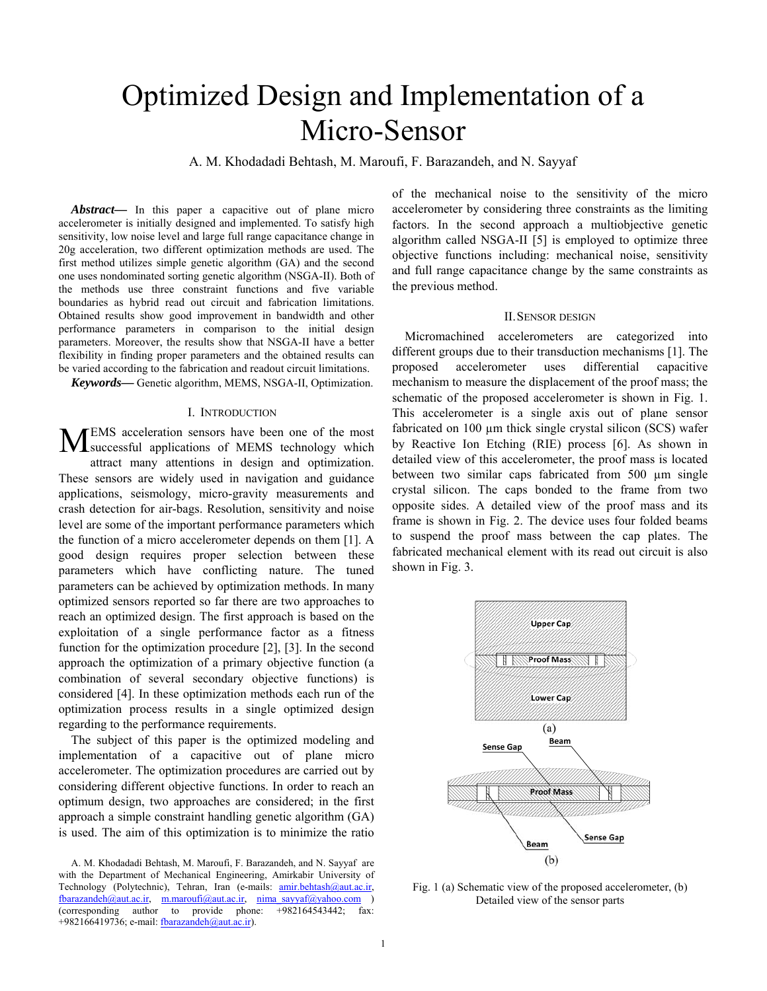# Optimized Design and Implementation of a Micro-Sensor

A. M. Khodadadi Behtash, M. Maroufi, F. Barazandeh, and N. Sayyaf

*Abstract***—** In this paper a capacitive out of plane micro accelerometer is initially designed and implemented. To satisfy high sensitivity, low noise level and large full range capacitance change in 20g acceleration, two different optimization methods are used. The first method utilizes simple genetic algorithm (GA) and the second one uses nondominated sorting genetic algorithm (NSGA-II). Both of the methods use three constraint functions and five variable boundaries as hybrid read out circuit and fabrication limitations. Obtained results show good improvement in bandwidth and other performance parameters in comparison to the initial design parameters. Moreover, the results show that NSGA-II have a better flexibility in finding proper parameters and the obtained results can be varied according to the fabrication and readout circuit limitations.

*Keywords***—** Genetic algorithm, MEMS, NSGA-II, Optimization.

#### I. INTRODUCTION

EMS acceleration sensors have been one of the most MEMS acceleration sensors have been one of the most successful applications of MEMS technology which attract many attentions in design and optimization. These sensors are widely used in navigation and guidance applications, seismology, micro-gravity measurements and crash detection for air-bags. Resolution, sensitivity and noise level are some of the important performance parameters which the function of a micro accelerometer depends on them [1]. A good design requires proper selection between these parameters which have conflicting nature. The tuned parameters can be achieved by optimization methods. In many optimized sensors reported so far there are two approaches to reach an optimized design. The first approach is based on the exploitation of a single performance factor as a fitness function for the optimization procedure [2], [3]. In the second approach the optimization of a primary objective function (a combination of several secondary objective functions) is considered [4]. In these optimization methods each run of the optimization process results in a single optimized design regarding to the performance requirements.

The subject of this paper is the optimized modeling and implementation of a capacitive out of plane micro accelerometer. The optimization procedures are carried out by considering different objective functions. In order to reach an optimum design, two approaches are considered; in the first approach a simple constraint handling genetic algorithm (GA) is used. The aim of this optimization is to minimize the ratio of the mechanical noise to the sensitivity of the micro accelerometer by considering three constraints as the limiting factors. In the second approach a multiobjective genetic algorithm called NSGA-II [5] is employed to optimize three objective functions including: mechanical noise, sensitivity and full range capacitance change by the same constraints as the previous method.

# II.SENSOR DESIGN

Micromachined accelerometers are categorized into different groups due to their transduction mechanisms [1]. The proposed accelerometer uses differential capacitive mechanism to measure the displacement of the proof mass; the schematic of the proposed accelerometer is shown in Fig. 1. This accelerometer is a single axis out of plane sensor fabricated on 100  $\mu$ m thick single crystal silicon (SCS) wafer by Reactive Ion Etching (RIE) process [6]. As shown in detailed view of this accelerometer, the proof mass is located between two similar caps fabricated from 500 µm single crystal silicon. The caps bonded to the frame from two opposite sides. A detailed view of the proof mass and its frame is shown in Fig. 2. The device uses four folded beams to suspend the proof mass between the cap plates. The fabricated mechanical element with its read out circuit is also shown in Fig. 3.



Fig. 1 (a) Schematic view of the proposed accelerometer, (b) Detailed view of the sensor parts

A. M. Khodadadi Behtash, M. Maroufi, F. Barazandeh, and N. Sayyaf are with the Department of Mechanical Engineering, Amirkabir University of Technology (Polytechnic), Tehran, Iran (e-mails: **amir.behtash@aut.ac.ir,** fbarazandeh@aut.ac.ir, m.maroufi@aut.ac.ir, nima\_sayyaf@yahoo.com ) (corresponding author to provide phone: +982164543442; fax: +982166419736; e-mail: fbarazandeh@aut.ac.ir).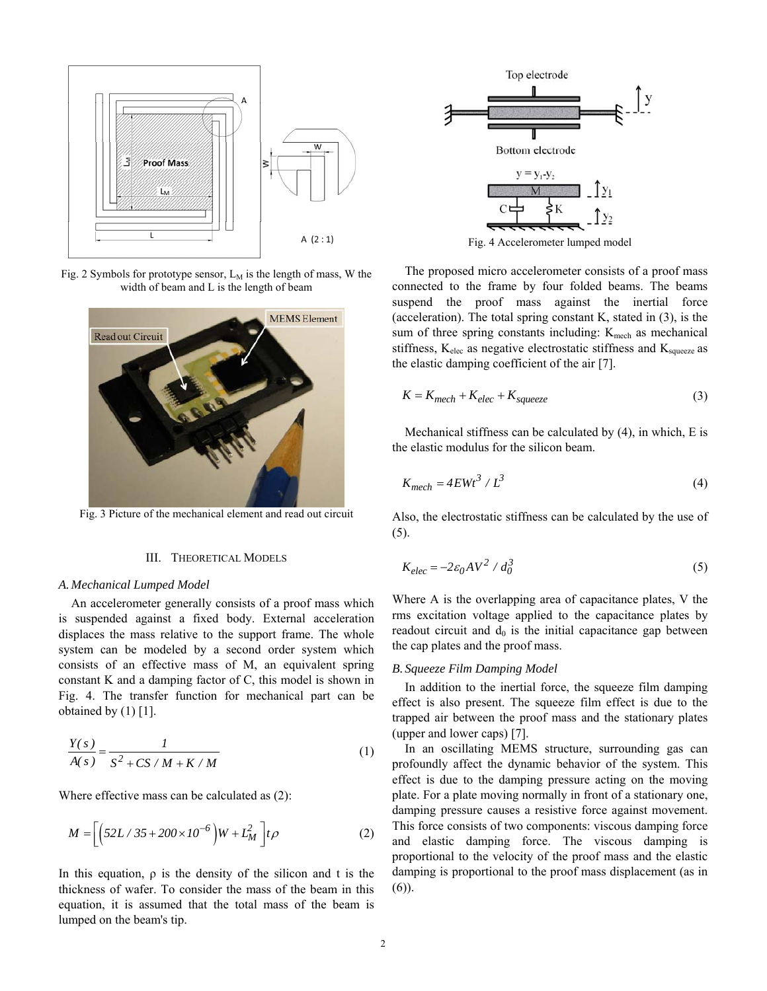

Fig. 2 Symbols for prototype sensor,  $L_M$  is the length of mass, W the width of beam and L is the length of beam



Fig. 3 Picture of the mechanical element and read out circuit

# III. THEORETICAL MODELS

#### *A. Mechanical Lumped Model*

An accelerometer generally consists of a proof mass which is suspended against a fixed body. External acceleration displaces the mass relative to the support frame. The whole system can be modeled by a second order system which consists of an effective mass of M, an equivalent spring constant K and a damping factor of C, this model is shown in Fig. 4. The transfer function for mechanical part can be obtained by  $(1)$  [1].

$$
\frac{Y(s)}{A(s)} = \frac{1}{S^2 + CS/M + K/M}
$$
 (1)

Where effective mass can be calculated as (2):

$$
M = \left[ \left( 52L / 35 + 200 \times 10^{-6} \right) W + L_M^2 \right] t \rho \tag{2}
$$

In this equation,  $\rho$  is the density of the silicon and t is the thickness of wafer. To consider the mass of the beam in this equation, it is assumed that the total mass of the beam is lumped on the beam's tip.



Fig. 4 Accelerometer lumped model

The proposed micro accelerometer consists of a proof mass connected to the frame by four folded beams. The beams suspend the proof mass against the inertial force (acceleration). The total spring constant K, stated in (3), is the sum of three spring constants including:  $K_{\text{mech}}$  as mechanical stiffness,  $K_{elec}$  as negative electrostatic stiffness and  $K_{square}$  as the elastic damping coefficient of the air [7].

$$
K = K_{mech} + K_{elec} + K_{squeeze}
$$
\n<sup>(3)</sup>

Mechanical stiffness can be calculated by (4), in which, E is the elastic modulus for the silicon beam.

$$
K_{mech} = 4EWt^3 / L^3
$$
 (4)

Also, the electrostatic stiffness can be calculated by the use of (5).

$$
K_{elec} = -2\varepsilon_0 A V^2 / d_0^3 \tag{5}
$$

Where A is the overlapping area of capacitance plates, V the rms excitation voltage applied to the capacitance plates by readout circuit and  $d_0$  is the initial capacitance gap between the cap plates and the proof mass.

# *B. Squeeze Film Damping Model*

In addition to the inertial force, the squeeze film damping effect is also present. The squeeze film effect is due to the trapped air between the proof mass and the stationary plates (upper and lower caps) [7].

In an oscillating MEMS structure, surrounding gas can profoundly affect the dynamic behavior of the system. This effect is due to the damping pressure acting on the moving plate. For a plate moving normally in front of a stationary one, damping pressure causes a resistive force against movement. This force consists of two components: viscous damping force and elastic damping force. The viscous damping is proportional to the velocity of the proof mass and the elastic damping is proportional to the proof mass displacement (as in (6)).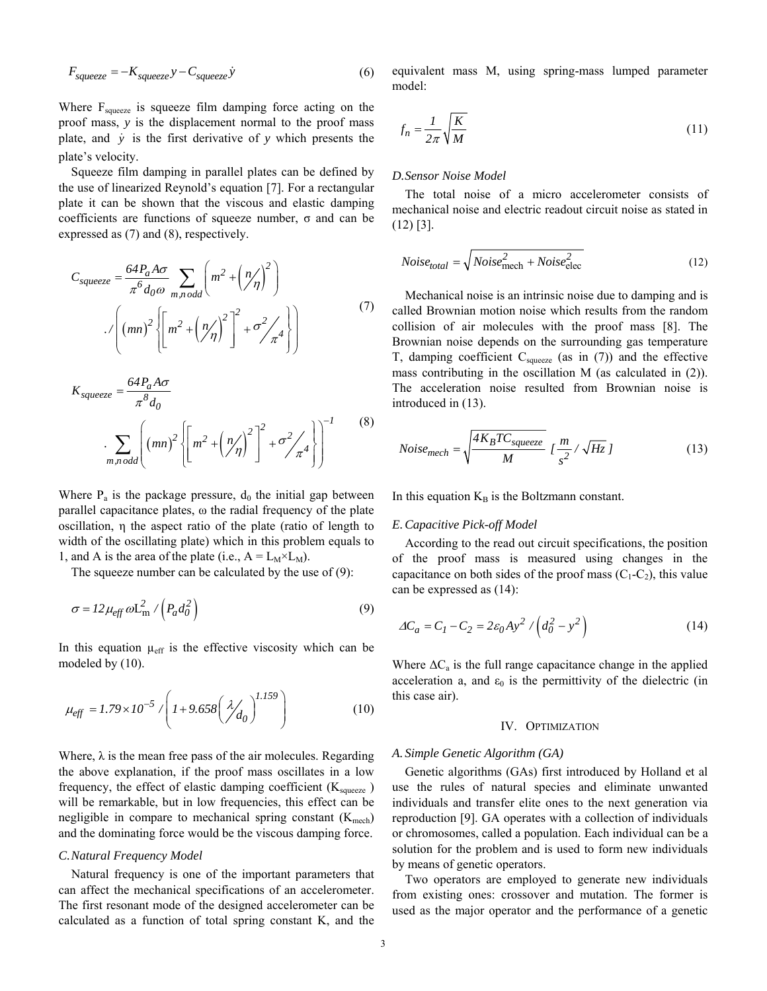$$
F_{squeeze} = -K_{squeeze}y - C_{squeeze}y \tag{6}
$$

Where  $F_{\text{square}}$  is squeeze film damping force acting on the proof mass, *y* is the displacement normal to the proof mass plate, and *y* is the first derivative of *y* which presents the plate's velocity.

Squeeze film damping in parallel plates can be defined by the use of linearized Reynold's equation [7]. For a rectangular plate it can be shown that the viscous and elastic damping coefficients are functions of squeeze number, σ and can be expressed as (7) and (8), respectively.

$$
C_{square} = \frac{64P_a A \sigma}{\pi^6 d_0 \omega} \sum_{m,n \text{ odd}} \left( m^2 + \left( \frac{n}{\eta} \right)^2 \right)
$$

$$
\sqrt{\left( mn \right)^2 \left\{ \left[ m^2 + \left( \frac{n}{\eta} \right)^2 \right]^2 + \sigma^2 / \pi^4 \right\}} \tag{7}
$$

$$
K_{squareze} = \frac{64P_a A \sigma}{\pi^8 d_0}
$$

$$
\sum_{m,n \text{ odd}} \left( (mn)^2 \left\{ \left[ m^2 + \left( \frac{n}{\eta} \right)^2 \right]^2 + \sigma^2 / \frac{n^4}{\pi^4} \right\} \right)^{-1} \tag{8}
$$

Where  $P_a$  is the package pressure,  $d_0$  the initial gap between parallel capacitance plates, ω the radial frequency of the plate oscillation, η the aspect ratio of the plate (ratio of length to width of the oscillating plate) which in this problem equals to 1, and A is the area of the plate (i.e.,  $A = L_M \times L_M$ ).

The squeeze number can be calculated by the use of (9):

$$
\sigma = I2\mu_{\text{eff}}\omega L_{\text{m}}^2 / \left(P_a d_0^2\right) \tag{9}
$$

In this equation  $\mu_{\text{eff}}$  is the effective viscosity which can be modeled by (10).

$$
\mu_{\text{eff}} = 1.79 \times 10^{-5} / \left( 1 + 9.658 \left( \frac{\lambda}{d_0} \right)^{1.159} \right) \tag{10}
$$

Where,  $\lambda$  is the mean free pass of the air molecules. Regarding the above explanation, if the proof mass oscillates in a low frequency, the effect of elastic damping coefficient  $(K_{\text{source}})$ will be remarkable, but in low frequencies, this effect can be negligible in compare to mechanical spring constant  $(K_{\text{mech}})$ and the dominating force would be the viscous damping force.

#### *C.Natural Frequency Model*

Natural frequency is one of the important parameters that can affect the mechanical specifications of an accelerometer. The first resonant mode of the designed accelerometer can be calculated as a function of total spring constant K, and the equivalent mass M, using spring-mass lumped parameter model:

$$
f_n = \frac{1}{2\pi} \sqrt{\frac{K}{M}}
$$
\n(11)

# *D.Sensor Noise Model*

The total noise of a micro accelerometer consists of mechanical noise and electric readout circuit noise as stated in (12) [3].

$$
Noise_{total} = \sqrt{Noise_{mech}^2 + Noise_{elec}^2}
$$
 (12)

Mechanical noise is an intrinsic noise due to damping and is called Brownian motion noise which results from the random collision of air molecules with the proof mass [8]. The Brownian noise depends on the surrounding gas temperature T, damping coefficient  $C_{square}$  (as in (7)) and the effective mass contributing in the oscillation M (as calculated in (2)). The acceleration noise resulted from Brownian noise is introduced in (13).

$$
Noise_{mech} = \sqrt{\frac{4K_BTC_{squeeze}}{M}} \left[\frac{m}{s^2} / \sqrt{Hz}\right]
$$
 (13)

In this equation  $K_B$  is the Boltzmann constant.

#### *E.Capacitive Pick-off Model*

According to the read out circuit specifications, the position of the proof mass is measured using changes in the capacitance on both sides of the proof mass  $(C_1-C_2)$ , this value can be expressed as (14):

$$
\Delta C_a = C_I - C_2 = 2\varepsilon_0 A y^2 / \left( d_0^2 - y^2 \right) \tag{14}
$$

Where  $\Delta C_a$  is the full range capacitance change in the applied acceleration a, and  $\varepsilon_0$  is the permittivity of the dielectric (in this case air).

# IV. OPTIMIZATION

#### *A. Simple Genetic Algorithm (GA)*

Genetic algorithms (GAs) first introduced by Holland et al use the rules of natural species and eliminate unwanted individuals and transfer elite ones to the next generation via reproduction [9]. GA operates with a collection of individuals or chromosomes, called a population. Each individual can be a solution for the problem and is used to form new individuals by means of genetic operators.

Two operators are employed to generate new individuals from existing ones: crossover and mutation. The former is used as the major operator and the performance of a genetic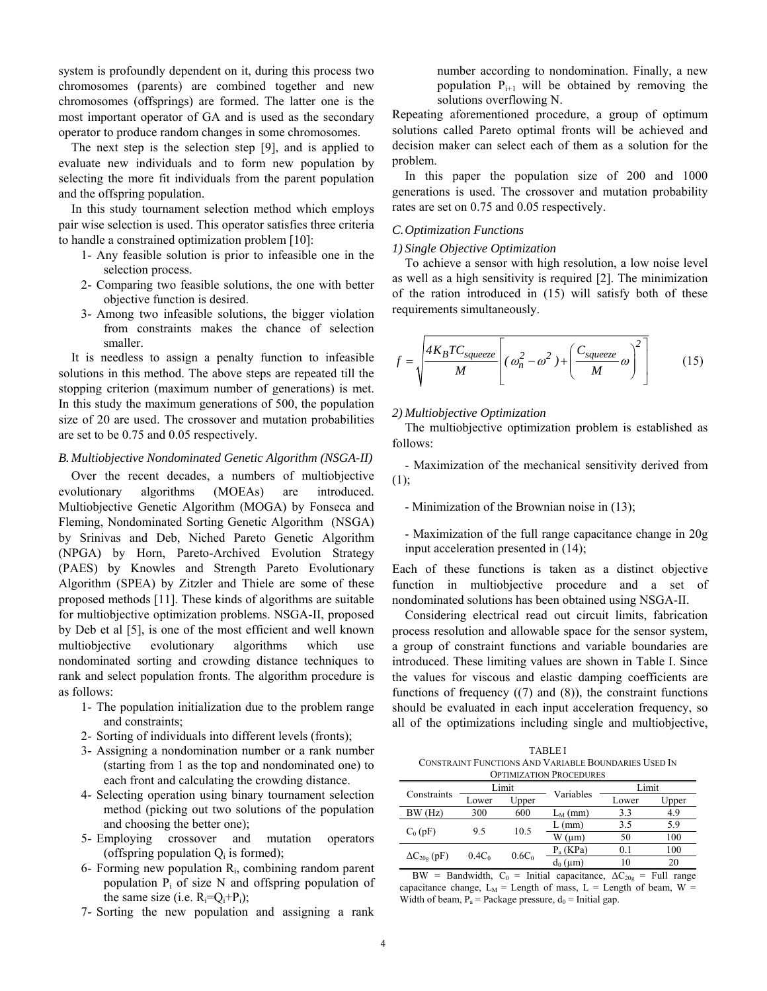system is profoundly dependent on it, during this process two chromosomes (parents) are combined together and new chromosomes (offsprings) are formed. The latter one is the most important operator of GA and is used as the secondary operator to produce random changes in some chromosomes.

The next step is the selection step [9], and is applied to evaluate new individuals and to form new population by selecting the more fit individuals from the parent population and the offspring population.

In this study tournament selection method which employs pair wise selection is used. This operator satisfies three criteria to handle a constrained optimization problem [10]:

- 1- Any feasible solution is prior to infeasible one in the selection process.
- 2- Comparing two feasible solutions, the one with better objective function is desired.
- 3- Among two infeasible solutions, the bigger violation from constraints makes the chance of selection smaller.

It is needless to assign a penalty function to infeasible solutions in this method. The above steps are repeated till the stopping criterion (maximum number of generations) is met. In this study the maximum generations of 500, the population size of 20 are used. The crossover and mutation probabilities are set to be 0.75 and 0.05 respectively.

# *B. Multiobjective Nondominated Genetic Algorithm (NSGA-II)*

Over the recent decades, a numbers of multiobjective evolutionary algorithms (MOEAs) are introduced. Multiobjective Genetic Algorithm (MOGA) by Fonseca and Fleming, Nondominated Sorting Genetic Algorithm (NSGA) by Srinivas and Deb, Niched Pareto Genetic Algorithm (NPGA) by Horn, Pareto-Archived Evolution Strategy (PAES) by Knowles and Strength Pareto Evolutionary Algorithm (SPEA) by Zitzler and Thiele are some of these proposed methods [11]. These kinds of algorithms are suitable for multiobjective optimization problems. NSGA-II, proposed by Deb et al [5], is one of the most efficient and well known multiobjective evolutionary algorithms which use nondominated sorting and crowding distance techniques to rank and select population fronts. The algorithm procedure is as follows:

- 1- The population initialization due to the problem range and constraints;
- 2- Sorting of individuals into different levels (fronts);
- 3- Assigning a nondomination number or a rank number (starting from 1 as the top and nondominated one) to each front and calculating the crowding distance.
- 4- Selecting operation using binary tournament selection method (picking out two solutions of the population and choosing the better one);
- 5- Employing crossover and mutation operators (offspring population  $Q_i$  is formed);
- 6- Forming new population Ri, combining random parent population  $P_i$  of size N and offspring population of the same size (i.e.  $R_i = Q_i + P_i$ );
- 7- Sorting the new population and assigning a rank

number according to nondomination. Finally, a new population  $P_{i+1}$  will be obtained by removing the solutions overflowing N.

Repeating aforementioned procedure, a group of optimum solutions called Pareto optimal fronts will be achieved and decision maker can select each of them as a solution for the problem.

In this paper the population size of 200 and 1000 generations is used. The crossover and mutation probability rates are set on 0.75 and 0.05 respectively.

# *C.Optimization Functions*

# *1) Single Objective Optimization*

To achieve a sensor with high resolution, a low noise level as well as a high sensitivity is required [2]. The minimization of the ration introduced in (15) will satisfy both of these requirements simultaneously.

$$
f = \sqrt{\frac{4K_BTC_{square}}{M}} \left[ (\omega_n^2 - \omega^2) + \left( \frac{C_{square}}{M} \omega \right)^2 \right]
$$
 (15)

# *2) Multiobjective Optimization*

The multiobjective optimization problem is established as follows:

- Maximization of the mechanical sensitivity derived from (1);

- Minimization of the Brownian noise in (13);

- Maximization of the full range capacitance change in 20g input acceleration presented in (14);

Each of these functions is taken as a distinct objective function in multiobjective procedure and a set of nondominated solutions has been obtained using NSGA-II.

Considering electrical read out circuit limits, fabrication process resolution and allowable space for the sensor system, a group of constraint functions and variable boundaries are introduced. These limiting values are shown in Table I. Since the values for viscous and elastic damping coefficients are functions of frequency  $((7)$  and  $(8)$ ), the constraint functions should be evaluated in each input acceleration frequency, so all of the optimizations including single and multiobjective,

TABLE I CONSTRAINT FUNCTIONS AND VARIABLE BOUNDARIES USED IN OPTIMIZATION PROCEDURES

| Constraints           |          | Limit    |                          | Limit |       |  |  |
|-----------------------|----------|----------|--------------------------|-------|-------|--|--|
|                       | Lower    | Upper    | Variables                | Lower | Upper |  |  |
| BW (Hz)               | 300      | 600      | $L_M$ (mm)               | 3.3   | 4.9   |  |  |
| $C_0$ (pF)            | 9.5      | 10.5     | (mm)                     | 3.5   | 5.9   |  |  |
|                       |          |          | $W \left( \mu m \right)$ | 50    | 100   |  |  |
| $\Delta C_{20g}$ (pF) |          |          | $P_a$ (KPa)              | 0.1   | 100   |  |  |
|                       | $0.4C_0$ | $0.6C_0$ | $d_0 \,(\mu m)$          | 10    | 20    |  |  |

BW = Bandwidth,  $C_0$  = Initial capacitance,  $\Delta C_{20g}$  = Full range capacitance change,  $L_M$  = Length of mass, L = Length of beam, W = Width of beam,  $P_a$  = Package pressure,  $d_0$  = Initial gap.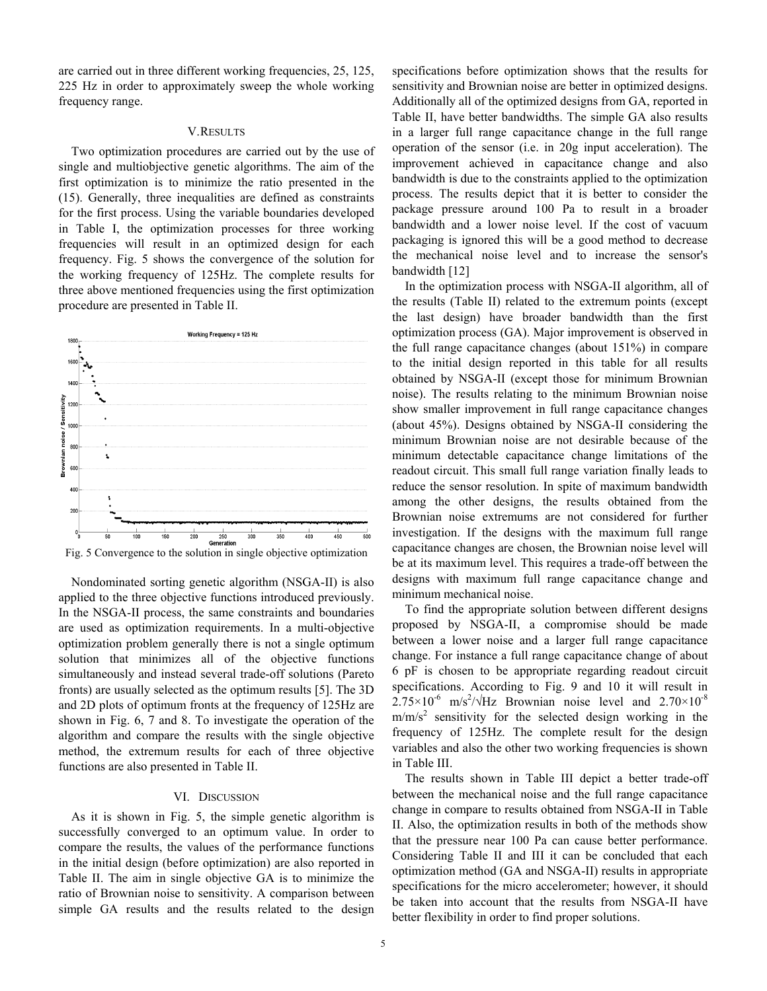are carried out in three different working frequencies, 25, 125, 225 Hz in order to approximately sweep the whole working frequency range.

### V.RESULTS

Two optimization procedures are carried out by the use of single and multiobjective genetic algorithms. The aim of the first optimization is to minimize the ratio presented in the (15). Generally, three inequalities are defined as constraints for the first process. Using the variable boundaries developed in Table I, the optimization processes for three working frequencies will result in an optimized design for each frequency. Fig. 5 shows the convergence of the solution for the working frequency of 125Hz. The complete results for three above mentioned frequencies using the first optimization procedure are presented in Table II.



Nondominated sorting genetic algorithm (NSGA-II) is also applied to the three objective functions introduced previously. In the NSGA-II process, the same constraints and boundaries are used as optimization requirements. In a multi-objective optimization problem generally there is not a single optimum solution that minimizes all of the objective functions simultaneously and instead several trade-off solutions (Pareto fronts) are usually selected as the optimum results [5]. The 3D and 2D plots of optimum fronts at the frequency of 125Hz are shown in Fig. 6, 7 and 8. To investigate the operation of the algorithm and compare the results with the single objective method, the extremum results for each of three objective functions are also presented in Table II.

# VI. DISCUSSION

As it is shown in Fig. 5, the simple genetic algorithm is successfully converged to an optimum value. In order to compare the results, the values of the performance functions in the initial design (before optimization) are also reported in Table II. The aim in single objective GA is to minimize the ratio of Brownian noise to sensitivity. A comparison between simple GA results and the results related to the design

specifications before optimization shows that the results for sensitivity and Brownian noise are better in optimized designs. Additionally all of the optimized designs from GA, reported in Table II, have better bandwidths. The simple GA also results in a larger full range capacitance change in the full range operation of the sensor (i.e. in 20g input acceleration). The improvement achieved in capacitance change and also bandwidth is due to the constraints applied to the optimization process. The results depict that it is better to consider the package pressure around 100 Pa to result in a broader bandwidth and a lower noise level. If the cost of vacuum packaging is ignored this will be a good method to decrease the mechanical noise level and to increase the sensor's bandwidth [12]

In the optimization process with NSGA-II algorithm, all of the results (Table II) related to the extremum points (except the last design) have broader bandwidth than the first optimization process (GA). Major improvement is observed in the full range capacitance changes (about 151%) in compare to the initial design reported in this table for all results obtained by NSGA-II (except those for minimum Brownian noise). The results relating to the minimum Brownian noise show smaller improvement in full range capacitance changes (about 45%). Designs obtained by NSGA-II considering the minimum Brownian noise are not desirable because of the minimum detectable capacitance change limitations of the readout circuit. This small full range variation finally leads to reduce the sensor resolution. In spite of maximum bandwidth among the other designs, the results obtained from the Brownian noise extremums are not considered for further investigation. If the designs with the maximum full range capacitance changes are chosen, the Brownian noise level will be at its maximum level. This requires a trade-off between the designs with maximum full range capacitance change and minimum mechanical noise.

To find the appropriate solution between different designs proposed by NSGA-II, a compromise should be made between a lower noise and a larger full range capacitance change. For instance a full range capacitance change of about 6 pF is chosen to be appropriate regarding readout circuit specifications. According to Fig. 9 and 10 it will result in  $2.75 \times 10^{-6}$  m/s<sup>2</sup>/ $\sqrt{Hz}$  Brownian noise level and  $2.70 \times 10^{-8}$  $m/m/s<sup>2</sup>$  sensitivity for the selected design working in the frequency of 125Hz. The complete result for the design variables and also the other two working frequencies is shown in Table III.

The results shown in Table III depict a better trade-off between the mechanical noise and the full range capacitance change in compare to results obtained from NSGA-II in Table II. Also, the optimization results in both of the methods show that the pressure near 100 Pa can cause better performance. Considering Table II and III it can be concluded that each optimization method (GA and NSGA-II) results in appropriate specifications for the micro accelerometer; however, it should be taken into account that the results from NSGA-II have better flexibility in order to find proper solutions.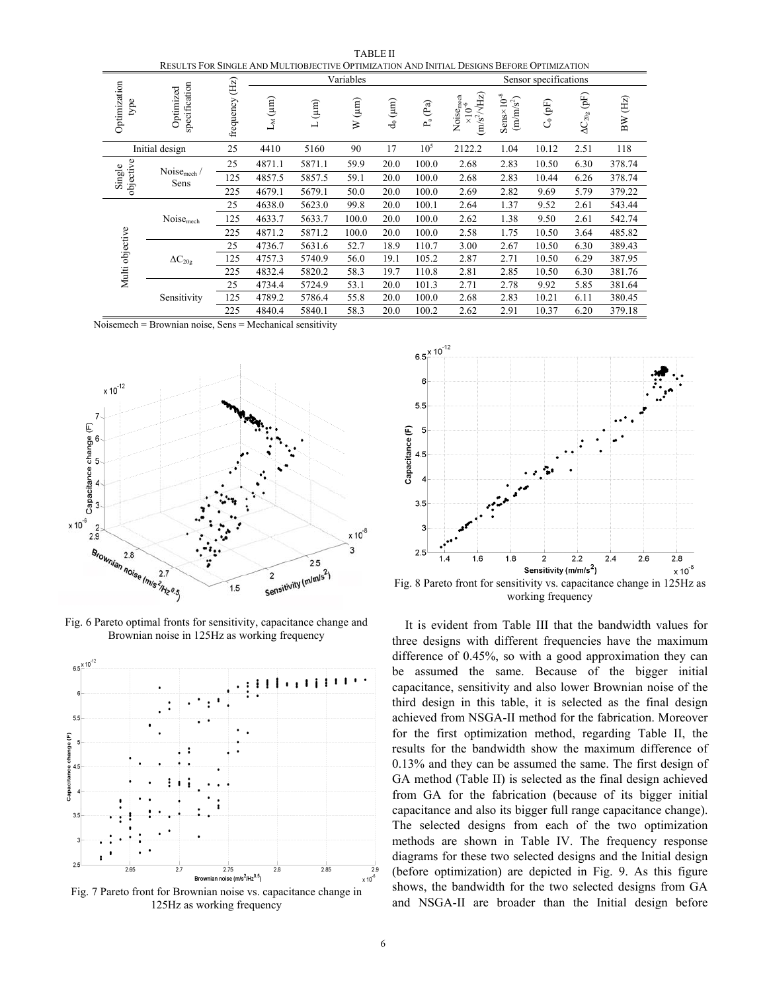| RESULTS FOR SINGLE AND MULTIOBJECTIVE OPTIMIZATION AND INITIAL DESIGNS BEFORE OPTIMIZATION |                           |                  |              |            |                     |              |                 |                                                                                |                                                               |                      |                      |         |
|--------------------------------------------------------------------------------------------|---------------------------|------------------|--------------|------------|---------------------|--------------|-----------------|--------------------------------------------------------------------------------|---------------------------------------------------------------|----------------------|----------------------|---------|
| Optimization<br>specification<br>Optimized<br>type                                         |                           |                  | Variables    |            |                     |              |                 | Sensor specifications                                                          |                                                               |                      |                      |         |
|                                                                                            |                           | (E)<br>frequency | $L_M(\mu m)$ | $L(\mu m)$ | $(\mu m)$<br>$\geq$ | $d_0(\mu m)$ | $P_a(Pa)$       | Noise <sub>mech</sub><br>$\times 10^{-6}$<br>(m/s <sup>2</sup> / $\sqrt{Hz}$ ) | $Sens \times 10^{-8}$<br>$\left(\text{m}/\text{m/s}^2\right)$ | $\mathcal{C}_0$ (pF) | $\Delta C_{20g}$ (pF | BW (Hz) |
|                                                                                            | Initial design            | 25               | 4410         | 5160       | 90                  | 17           | 10 <sup>5</sup> | 2122.2                                                                         | 1.04                                                          | 10.12                | 2.51                 | 118     |
| objective<br>Single                                                                        |                           | 25               | 4871.1       | 5871.1     | 59.9                | 20.0         | 100.0           | 2.68                                                                           | 2.83                                                          | 10.50                | 6.30                 | 378.74  |
|                                                                                            | Noise $_{mech}$ /<br>Sens | 125              | 4857.5       | 5857.5     | 59.1                | 20.0         | 100.0           | 2.68                                                                           | 2.83                                                          | 10.44                | 6.26                 | 378.74  |
|                                                                                            |                           | 225              | 4679.1       | 5679.1     | 50.0                | 20.0         | 100.0           | 2.69                                                                           | 2.82                                                          | 9.69                 | 5.79                 | 379.22  |
|                                                                                            |                           | 25               | 4638.0       | 5623.0     | 99.8                | 20.0         | 100.1           | 2.64                                                                           | 1.37                                                          | 9.52                 | 2.61                 | 543.44  |
|                                                                                            | Noisemech                 | 125              | 4633.7       | 5633.7     | 100.0               | 20.0         | 100.0           | 2.62                                                                           | 1.38                                                          | 9.50                 | 2.61                 | 542.74  |
|                                                                                            |                           | 225              | 4871.2       | 5871.2     | 100.0               | 20.0         | 100.0           | 2.58                                                                           | 1.75                                                          | 10.50                | 3.64                 | 485.82  |
|                                                                                            |                           | 25               | 4736.7       | 5631.6     | 52.7                | 18.9         | 110.7           | 3.00                                                                           | 2.67                                                          | 10.50                | 6.30                 | 389.43  |
| Multi objective                                                                            | $\Delta C_{20g}$          | 125              | 4757.3       | 5740.9     | 56.0                | 19.1         | 105.2           | 2.87                                                                           | 2.71                                                          | 10.50                | 6.29                 | 387.95  |
|                                                                                            |                           | 225              | 4832.4       | 5820.2     | 58.3                | 19.7         | 110.8           | 2.81                                                                           | 2.85                                                          | 10.50                | 6.30                 | 381.76  |
|                                                                                            |                           | 25               | 4734.4       | 5724.9     | 53.1                | 20.0         | 101.3           | 2.71                                                                           | 2.78                                                          | 9.92                 | 5.85                 | 381.64  |
|                                                                                            | Sensitivity               | 125              | 4789.2       | 5786.4     | 55.8                | 20.0         | 100.0           | 2.68                                                                           | 2.83                                                          | 10.21                | 6.11                 | 380.45  |
|                                                                                            |                           | 225              | 4840.4       | 5840.1     | 58.3                | 20.0         | 100.2           | 2.62                                                                           | 2.91                                                          | 10.37                | 6.20                 | 379.18  |

TABLE II

Noisemech = Brownian noise, Sens = Mechanical sensitivity



Fig. 6 Pareto optimal fronts for sensitivity, capacitance change and Brownian noise in 125Hz as working frequency



125Hz as working frequency



working frequency

It is evident from Table III that the bandwidth values for three designs with different frequencies have the maximum difference of 0.45%, so with a good approximation they can be assumed the same. Because of the bigger initial capacitance, sensitivity and also lower Brownian noise of the third design in this table, it is selected as the final design achieved from NSGA-II method for the fabrication. Moreover for the first optimization method, regarding Table II, the results for the bandwidth show the maximum difference of 0.13% and they can be assumed the same. The first design of GA method (Table II) is selected as the final design achieved from GA for the fabrication (because of its bigger initial capacitance and also its bigger full range capacitance change). The selected designs from each of the two optimization methods are shown in Table IV. The frequency response diagrams for these two selected designs and the Initial design (before optimization) are depicted in Fig. 9. As this figure shows, the bandwidth for the two selected designs from GA and NSGA-II are broader than the Initial design before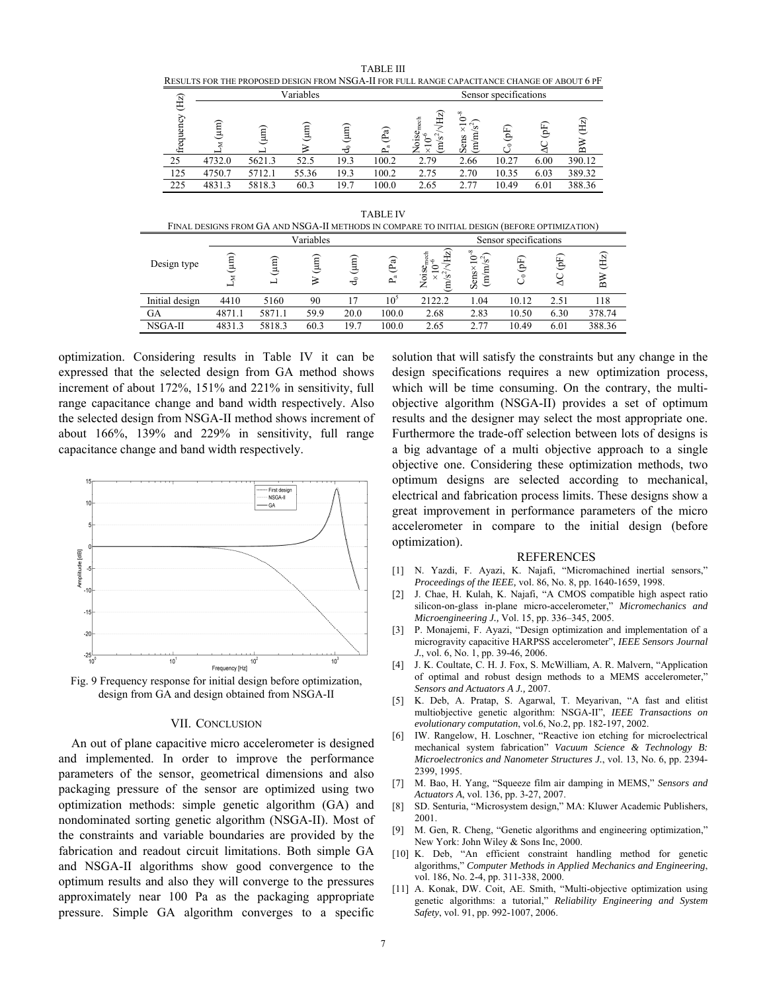| RESULTS FOR THE PROPOSED DESIGN FROM NSGA-II FOR FULL RANGE CAPACITANCE CHANGE OF ABOUT 6 PF |        |                       |       |                               |       |             |                                     |       |      |        |  |
|----------------------------------------------------------------------------------------------|--------|-----------------------|-------|-------------------------------|-------|-------------|-------------------------------------|-------|------|--------|--|
| (Hz)                                                                                         |        | Sensor specifications |       |                               |       |             |                                     |       |      |        |  |
| frequency                                                                                    | (um    |                       | (um   | $\overline{\mathrm{m}}$<br>ਰੰ | (Pa)  | Se<br>$S^2$ | ${}^{\circ}$<br>$-1.5$<br>Sens<br>Ĕ | (Fq)  | (Fq) | Œ      |  |
| 25                                                                                           | 4732.0 | 5621.3                | 52.5  | 19.3                          | 100.2 | 2.79        | 2.66                                | 10.27 | 6.00 | 390.12 |  |
| 125                                                                                          | 4750.7 | 5712.1                | 55.36 | 19.3                          | 100.2 | 2.75        | 2.70                                | 10.35 | 6.03 | 389.32 |  |
| 225                                                                                          | 4831.3 | 5818.3                | 60.3  | 19.7                          | 100.0 | 2.65        | 2.77                                | 10.49 | 6.01 | 388.36 |  |

TABLE III RESULTS FOR THE PROPOSED DESIGN FROM NSGA-II FOR FULL RANGE CAPACITANCE CHANGE OF ABOUT 6 PF

TABLE IV

|                | Variables |           |      |           |                 | Sensor specifications                                      |                                                                      |           |         |                           |
|----------------|-----------|-----------|------|-----------|-----------------|------------------------------------------------------------|----------------------------------------------------------------------|-----------|---------|---------------------------|
| Design type    | (mu)      | (mu)<br>┙ | (mu) | (mu)<br>ಕ | (Pa)<br>ಡ<br>نم | (Hz)<br>OISemech<br>$\frac{1}{2}$<br>っ<br>$\sim$<br>s<br>z | ∞<br>ᅌ<br>$\sim$<br>s<br>$\overline{\phantom{0}}$<br>Sens×<br>Ξ<br>Ê | (F)<br>ರೆ | $($ pF) | (Hz)<br>$\mathbf{\Omega}$ |
| Initial design | 4410      | 5160      | 90   |           | 10 <sup>5</sup> | 2122.2                                                     | 1.04                                                                 | 10.12     | 2.51    | 118                       |
| GА             | 4871.1    | 5871.1    | 59.9 | 20.0      | 100.0           | 2.68                                                       | 2.83                                                                 | 10.50     | 6.30    | 378.74                    |
| NSGA-II        | 4831.3    | 5818.3    | 60.3 | 19.7      | 100.0           | 2.65                                                       | 2.77                                                                 | 10.49     | 6.01    | 388.36                    |

optimization. Considering results in Table IV it can be expressed that the selected design from GA method shows increment of about 172%, 151% and 221% in sensitivity, full range capacitance change and band width respectively. Also the selected design from NSGA-II method shows increment of about 166%, 139% and 229% in sensitivity, full range capacitance change and band width respectively.



design from GA and design obtained from NSGA-II

# VII. CONCLUSION

An out of plane capacitive micro accelerometer is designed and implemented. In order to improve the performance parameters of the sensor, geometrical dimensions and also packaging pressure of the sensor are optimized using two optimization methods: simple genetic algorithm (GA) and nondominated sorting genetic algorithm (NSGA-II). Most of the constraints and variable boundaries are provided by the fabrication and readout circuit limitations. Both simple GA and NSGA-II algorithms show good convergence to the optimum results and also they will converge to the pressures approximately near 100 Pa as the packaging appropriate pressure. Simple GA algorithm converges to a specific solution that will satisfy the constraints but any change in the design specifications requires a new optimization process, which will be time consuming. On the contrary, the multiobjective algorithm (NSGA-II) provides a set of optimum results and the designer may select the most appropriate one. Furthermore the trade-off selection between lots of designs is a big advantage of a multi objective approach to a single objective one. Considering these optimization methods, two optimum designs are selected according to mechanical, electrical and fabrication process limits. These designs show a great improvement in performance parameters of the micro accelerometer in compare to the initial design (before optimization).

#### REFERENCES

- [1] N. Yazdi, F. Ayazi, K. Najafi, "Micromachined inertial sensors," *Proceedings of the IEEE,* vol. 86, No. 8, pp. 1640-1659, 1998.
- [2] J. Chae, H. Kulah, K. Najafi, "A CMOS compatible high aspect ratio silicon-on-glass in-plane micro-accelerometer," *Micromechanics and Microengineering J.,* Vol. 15, pp. 336–345, 2005.
- [3] P. Monajemi, F. Ayazi, "Design optimization and implementation of a microgravity capacitive HARPSS accelerometer", *IEEE Sensors Journal J.*, vol. 6, No. 1, pp. 39-46, 2006.
- [4] J. K. Coultate, C. H. J. Fox, S. McWilliam, A. R. Malvern, "Application of optimal and robust design methods to a MEMS accelerometer," *Sensors and Actuators A J.,* 2007.
- [5] K. Deb, A. Pratap, S. Agarwal, T. Meyarivan, "A fast and elitist multiobjective genetic algorithm: NSGA-II", *IEEE Transactions on evolutionary computation*, vol.6, No.2, pp. 182-197, 2002.
- [6] IW. Rangelow, H. Loschner, "Reactive ion etching for microelectrical mechanical system fabrication" *Vacuum Science & Technology B: Microelectronics and Nanometer Structures J.*, vol. 13, No. 6, pp. 2394- 2399, 1995.
- [7] M. Bao, H. Yang, "Squeeze film air damping in MEMS," *Sensors and Actuators A*, vol. 136, pp. 3-27, 2007.
- [8] SD. Senturia, "Microsystem design," MA: Kluwer Academic Publishers, 2001.
- [9] M. Gen, R. Cheng, "Genetic algorithms and engineering optimization," New York: John Wiley & Sons Inc, 2000.
- [10] K. Deb, "An efficient constraint handling method for genetic algorithms," *Computer Methods in Applied Mechanics and Engineering*, vol. 186, No. 2-4, pp. 311-338, 2000.
- [11] A. Konak, DW. Coit, AE. Smith, "Multi-objective optimization using genetic algorithms: a tutorial," *Reliability Engineering and System Safety*, vol. 91, pp. 992-1007, 2006.